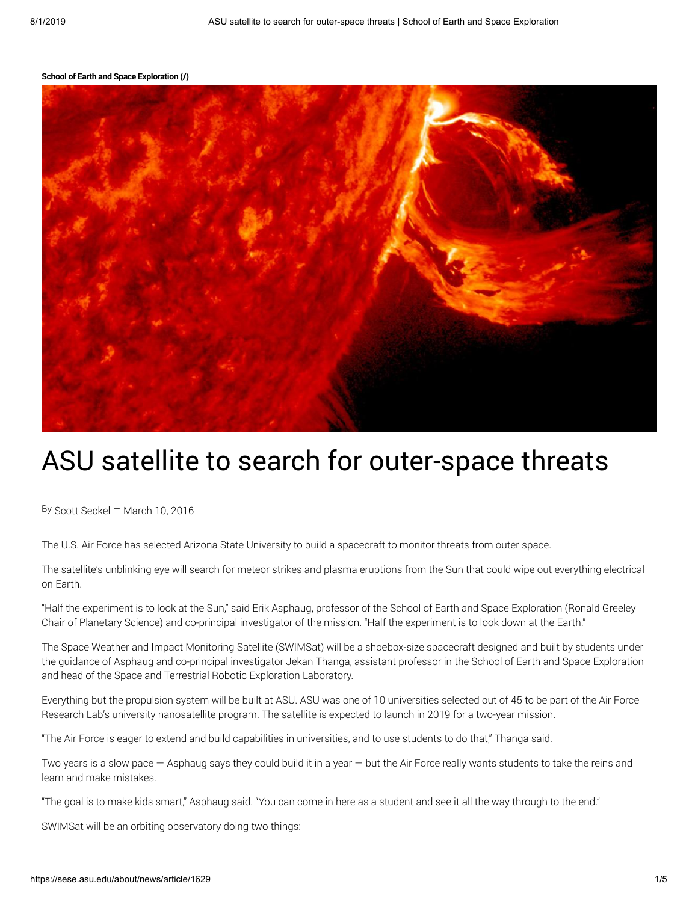#### School of Earth and Space [Exploration](https://sese.asu.edu/) (/)



# ASU satellite to search for outer-space threats

By Scott Seckel — March 10, 2016

The U.S. Air Force has selected Arizona State University to build a spacecraft to monitor threats from outer space.

The satellite's unblinking eye will search for meteor strikes and plasma eruptions from the Sun that could wipe out everything electrical on Earth.

"Half the experiment is to look at the Sun," said Erik Asphaug, professor of the School of Earth and Space Exploration (Ronald Greeley Chair of Planetary Science) and co-principal investigator of the mission. "Half the experiment is to look down at the Earth."

The Space Weather and Impact Monitoring Satellite (SWIMSat) will be a shoebox-size spacecraft designed and built by students under the guidance of Asphaug and co-principal investigator Jekan Thanga, assistant professor in the School of Earth and Space Exploration and head of the Space and Terrestrial Robotic Exploration Laboratory.

Everything but the propulsion system will be built at ASU. ASU was one of 10 universities selected out of 45 to be part of the Air Force Research Lab's university nanosatellite program. The satellite is expected to launch in 2019 for a two-year mission.

"The Air Force is eager to extend and build capabilities in universities, and to use students to do that," Thanga said.

Two years is a slow pace — Asphaug says they could build it in a year — but the Air Force really wants students to take the reins and learn and make mistakes.

"The goal is to make kids smart," Asphaug said. "You can come in here as a student and see it all the way through to the end."

SWIMSat will be an orbiting observatory doing two things: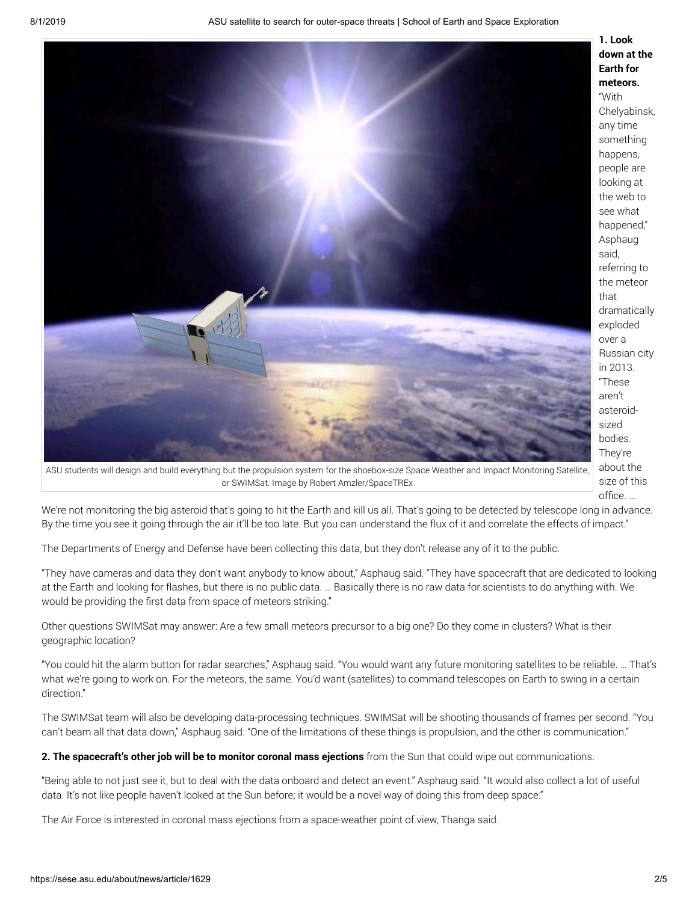

ASU students will design and build everything but the propulsion system for the shoebox-size Space Weather and Impact Monitoring Satellite, or SWIMSat. Image by Robert Amzler/SpaceTREx

1. Look down at the Earth for meteors. "With Chelyabinsk, any time something happens, people are looking at the web to see what happened," Asphaug said, referring to the meteor that dramatically exploded over a Russian city in 2013. "These aren't asteroidsized bodies. They're about the size of this office. ...

We're not monitoring the big asteroid that's going to hit the Earth and kill us all. That's going to be detected by telescope long in advance. By the time you see it going through the air it'll be too late. But you can understand the flux of it and correlate the effects of impact."

The Departments of Energy and Defense have been collecting this data, but they don't release any of it to the public.

"They have cameras and data they don't want anybody to know about," Asphaug said. "They have spacecraft that are dedicated to looking at the Earth and looking for flashes, but there is no public data. … Basically there is no raw data for scientists to do anything with. We would be providing the first data from space of meteors striking."

Other questions SWIMSat may answer: Are a few small meteors precursor to a big one? Do they come in clusters? What is their geographic location?

"You could hit the alarm button for radar searches," Asphaug said. "You would want any future monitoring satellites to be reliable. … That's what we're going to work on. For the meteors, the same. You'd want (satellites) to command telescopes on Earth to swing in a certain direction."

The SWIMSat team will also be developing data-processing techniques. SWIMSat will be shooting thousands of frames per second. "You can't beam all that data down," Asphaug said. "One of the limitations of these things is propulsion, and the other is communication."

2. The spacecraft's other job will be to monitor coronal mass ejections from the Sun that could wipe out communications.

"Being able to not just see it, but to deal with the data onboard and detect an event." Asphaug said. "It would also collect a lot of useful data. It's not like people haven't looked at the Sun before; it would be a novel way of doing this from deep space."

The Air Force is interested in coronal mass ejections from a space-weather point of view, Thanga said.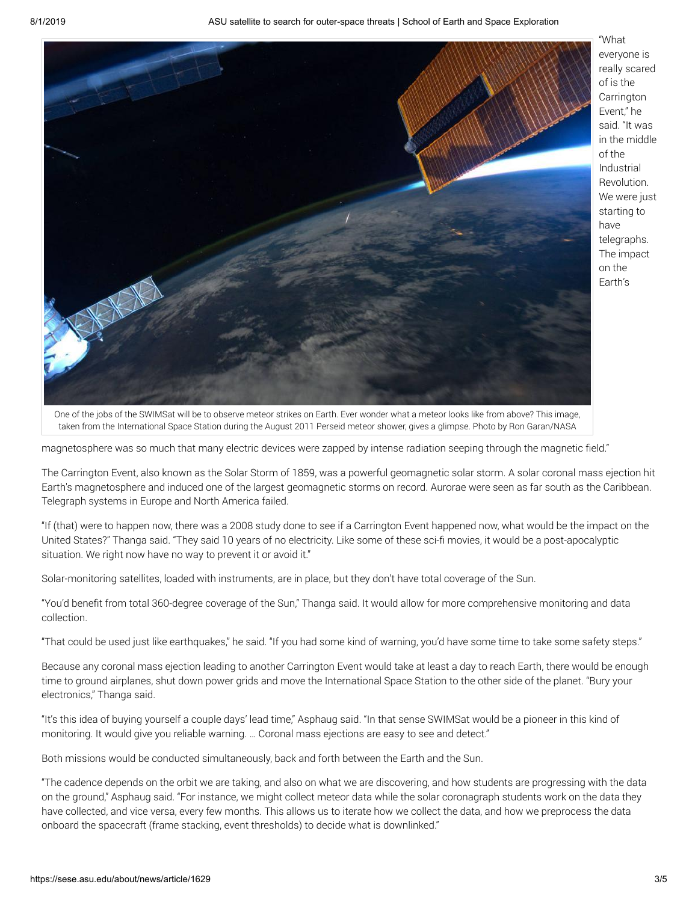

"What everyone is really scared of is the **Carrington** Event," he said. "It was in the middle of the Industrial Revolution. We were just starting to have telegraphs. The impact on the Earth's

One of the jobs of the SWIMSat will be to observe meteor strikes on Earth. Ever wonder what a meteor looks like from above? This image, taken from the International Space Station during the August 2011 Perseid meteor shower, gives a glimpse. Photo by Ron Garan/NASA

magnetosphere was so much that many electric devices were zapped by intense radiation seeping through the magnetic field."

The Carrington Event, also known as the Solar Storm of 1859, was a powerful geomagnetic solar storm. A solar coronal mass ejection hit Earth's magnetosphere and induced one of the largest geomagnetic storms on record. Aurorae were seen as far south as the Caribbean. Telegraph systems in Europe and North America failed.

"If (that) were to happen now, there was a 2008 study done to see if a Carrington Event happened now, what would be the impact on the United States?" Thanga said. "They said 10 years of no electricity. Like some of these sci-fi movies, it would be a post-apocalyptic situation. We right now have no way to prevent it or avoid it."

Solar-monitoring satellites, loaded with instruments, are in place, but they don't have total coverage of the Sun.

"You'd benefit from total 360-degree coverage of the Sun," Thanga said. It would allow for more comprehensive monitoring and data collection.

"That could be used just like earthquakes," he said. "If you had some kind of warning, you'd have some time to take some safety steps."

Because any coronal mass ejection leading to another Carrington Event would take at least a day to reach Earth, there would be enough time to ground airplanes, shut down power grids and move the International Space Station to the other side of the planet. "Bury your electronics," Thanga said.

"It's this idea of buying yourself a couple days' lead time," Asphaug said. "In that sense SWIMSat would be a pioneer in this kind of monitoring. It would give you reliable warning. … Coronal mass ejections are easy to see and detect."

Both missions would be conducted simultaneously, back and forth between the Earth and the Sun.

"The cadence depends on the orbit we are taking, and also on what we are discovering, and how students are progressing with the data on the ground," Asphaug said. "For instance, we might collect meteor data while the solar coronagraph students work on the data they have collected, and vice versa, every few months. This allows us to iterate how we collect the data, and how we preprocess the data onboard the spacecraft (frame stacking, event thresholds) to decide what is downlinked."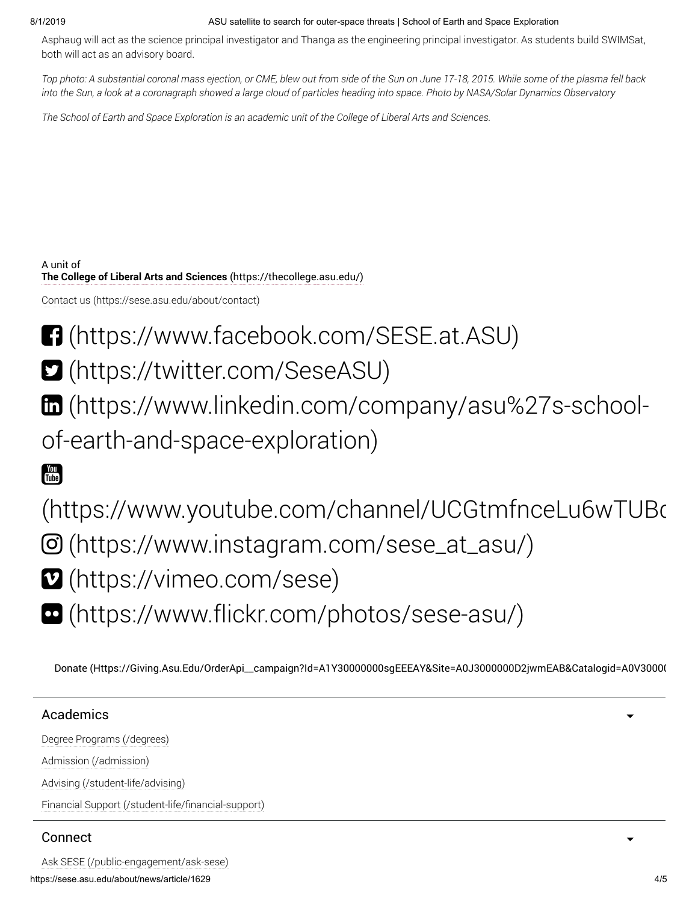#### 8/1/2019 ASU satellite to search for outer-space threats | School of Earth and Space Exploration

Asphaug will act as the science principal investigator and Thanga as the engineering principal investigator. As students build SWIMSat, both will act as an advisory board.

Top photo: A substantial coronal mass ejection, or CME, blew out from side of the Sun on June 17-18, 2015. While some of the plasma fell back into the Sun, a look at a coronagraph showed a large cloud of particles heading into space. Photo by NASA/Solar Dynamics Observatory

The School of Earth and Space Exploration is an academic unit of the College of Liberal Arts and Sciences.

A unit of [The College of Liberal Arts and Sciences](https://thecollege.asu.edu/) (https://thecollege.asu.edu/)

[Contact us \(https://sese.asu.edu/about/contact\)](https://sese.asu.edu/about/contact)

- [\(https://www.facebook.com/SESE.at.ASU\)](https://www.facebook.com/SESE.at.ASU)
- [\(https://twitter.com/SeseASU\)](https://twitter.com/SeseASU)
- [\(https://www.linkedin.com/company/asu%27s-school-](https://www.linkedin.com/company/asu%27s-school-of-earth-and-space-exploration)

of-earth-and-space-exploration)

# Tube

[\(https://www.youtube.com/channel/UCGtmfnceLu6wTUBq](https://www.youtube.com/channel/UCGtmfnceLu6wTUBq02royQA)  [\(https://www.instagram.com/sese\\_at\\_asu/\)](https://www.instagram.com/sese_at_asu/)

- [\(https://vimeo.com/sese\)](https://vimeo.com/sese)
- [\(https://www.flickr.com/photos/sese-asu/\)](https://www.flickr.com/photos/sese-asu/)

[Donate \(Https://Giving.Asu.Edu/OrderApi\\_\\_campaign?Id=A1Y30000000sgEEEAY&Site=A0J3000000D2jwmEAB&Catalogid=A0V30000](https://giving.asu.edu/OrderApi__campaign?id=a1Y30000000sgEEEAY&site=a0J3000000D2jwmEAB&catalogid=a0V3000000AkSCA)

## Academics

[Degree Programs \(/degrees\)](https://sese.asu.edu/degrees) [Admission \(/admission\)](https://sese.asu.edu/admission)

[Advising \(/student-life/advising\)](https://sese.asu.edu/student-life/advising)

[Financial Support \(/student-life/financial-support\)](https://sese.asu.edu/student-life/financial-support)

## Connect

https://sese.asu.edu/about/news/article/1629 4/5 [Ask SESE \(/public-engagement/ask-sese\)](https://sese.asu.edu/public-engagement/ask-sese)